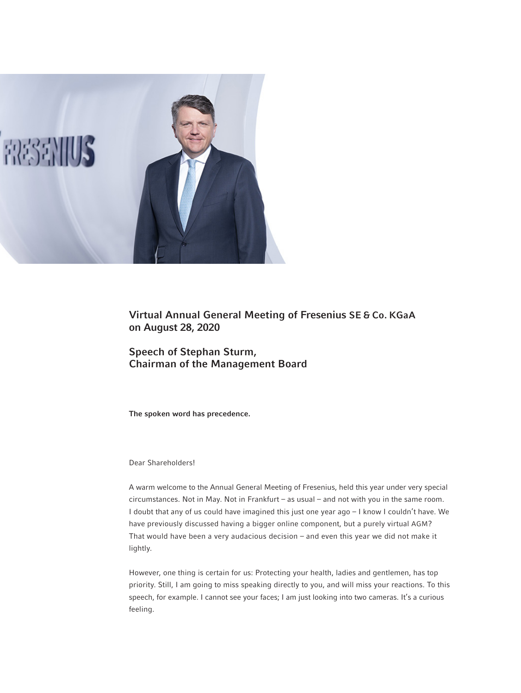

Virtual Annual General Meeting of Fresenius SE & Co. KGaA on August 28, 2020

Speech of Stephan Sturm, Chairman of the Management Board

The spoken word has precedence.

# Dear Shareholders!

A warm welcome to the Annual General Meeting of Fresenius, held this year under very special circumstances. Not in May. Not in Frankfurt – as usual – and not with you in the same room. I doubt that any of us could have imagined this just one year ago – I know I couldn't have. We have previously discussed having a bigger online component, but a purely virtual AGM? That would have been a very audacious decision – and even this year we did not make it lightly.

However, one thing is certain for us: Protecting your health, ladies and gentlemen, has top priority. Still, I am going to miss speaking directly to you, and will miss your reactions. To this speech, for example. I cannot see your faces; I am just looking into two cameras. It's a curious feeling.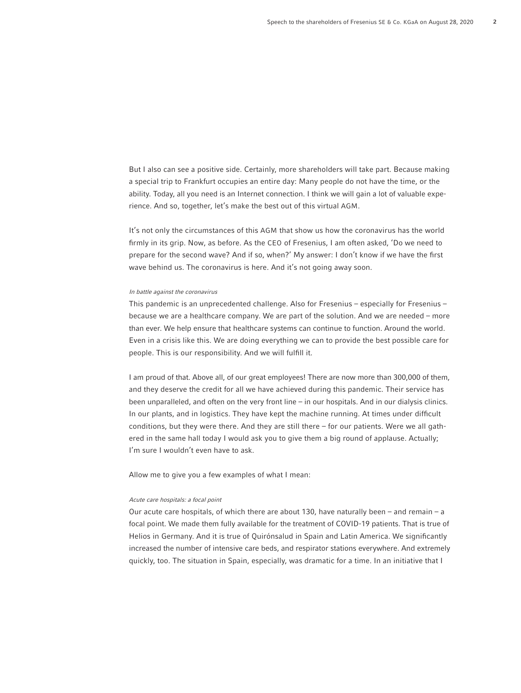But I also can see a positive side. Certainly, more shareholders will take part. Because making a special trip to Frankfurt occupies an entire day: Many people do not have the time, or the ability. Today, all you need is an Internet connection. I think we will gain a lot of valuable experience. And so, together, let's make the best out of this virtual AGM.

It's not only the circumstances of this AGM that show us how the coronavirus has the world firmly in its grip. Now, as before. As the CEO of Fresenius, I am often asked, 'Do we need to prepare for the second wave? And if so, when?' My answer: I don't know if we have the first wave behind us. The coronavirus is here. And it's not going away soon.

#### In battle against the coronavirus

This pandemic is an unprecedented challenge. Also for Fresenius – especially for Fresenius – because we are a healthcare company. We are part of the solution. And we are needed – more than ever. We help ensure that healthcare systems can continue to function. Around the world. Even in a crisis like this. We are doing everything we can to provide the best possible care for people. This is our responsibility. And we will fulfill it.

I am proud of that. Above all, of our great employees! There are now more than 300,000 of them, and they deserve the credit for all we have achieved during this pandemic. Their service has been unparalleled, and often on the very front line – in our hospitals. And in our dialysis clinics. In our plants, and in logistics. They have kept the machine running. At times under difficult conditions, but they were there. And they are still there – for our patients. Were we all gathered in the same hall today I would ask you to give them a big round of applause. Actually; I'm sure I wouldn't even have to ask.

Allow me to give you a few examples of what I mean:

## Acute care hospitals: a focal point

Our acute care hospitals, of which there are about 130, have naturally been – and remain – a focal point. We made them fully available for the treatment of COVID-19 patients. That is true of Helios in Germany. And it is true of Quirónsalud in Spain and Latin America. We significantly increased the number of intensive care beds, and respirator stations everywhere. And extremely quickly, too. The situation in Spain, especially, was dramatic for a time. In an initiative that I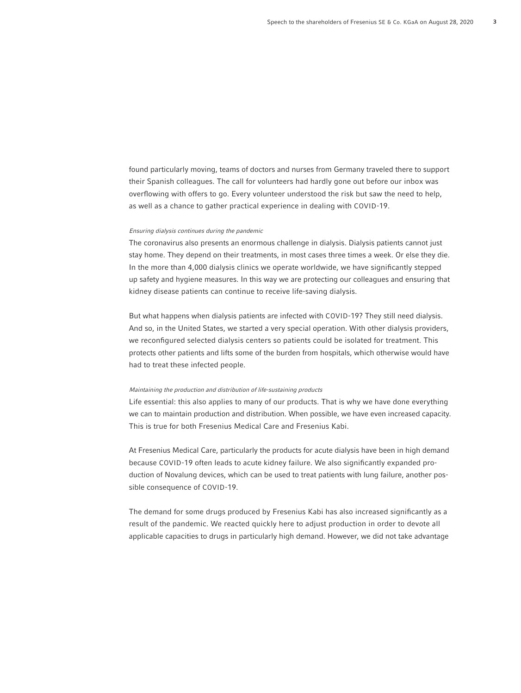found particularly moving, teams of doctors and nurses from Germany traveled there to support their Spanish colleagues. The call for volunteers had hardly gone out before our inbox was overflowing with offers to go. Every volunteer understood the risk but saw the need to help, as well as a chance to gather practical experience in dealing with COVID-19.

### Ensuring dialysis continues during the pandemic

The coronavirus also presents an enormous challenge in dialysis. Dialysis patients cannot just stay home. They depend on their treatments, in most cases three times a week. Or else they die. In the more than 4,000 dialysis clinics we operate worldwide, we have significantly stepped up safety and hygiene measures. In this way we are protecting our colleagues and ensuring that kidney disease patients can continue to receive life-saving dialysis.

But what happens when dialysis patients are infected with COVID-19? They still need dialysis. And so, in the United States, we started a very special operation. With other dialysis providers, we reconfigured selected dialysis centers so patients could be isolated for treatment. This protects other patients and lifts some of the burden from hospitals, which otherwise would have had to treat these infected people.

#### Maintaining the production and distribution of life-sustaining products

Life essential: this also applies to many of our products. That is why we have done everything we can to maintain production and distribution. When possible, we have even increased capacity. This is true for both Fresenius Medical Care and Fresenius Kabi.

At Fresenius Medical Care, particularly the products for acute dialysis have been in high demand because COVID-19 often leads to acute kidney failure. We also significantly expanded production of Novalung devices, which can be used to treat patients with lung failure, another possible consequence of COVID-19.

The demand for some drugs produced by Fresenius Kabi has also increased significantly as a result of the pandemic. We reacted quickly here to adjust production in order to devote all applicable capacities to drugs in particularly high demand. However, we did not take advantage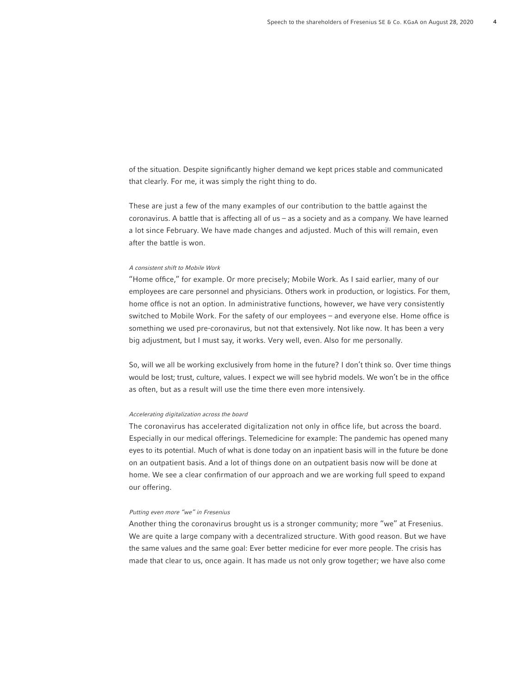of the situation. Despite significantly higher demand we kept prices stable and communicated that clearly. For me, it was simply the right thing to do.

These are just a few of the many examples of our contribution to the battle against the coronavirus. A battle that is affecting all of us – as a society and as a company. We have learned a lot since February. We have made changes and adjusted. Much of this will remain, even after the battle is won.

#### A consistent shift to Mobile Work

"Home office," for example. Or more precisely; Mobile Work. As I said earlier, many of our employees are care personnel and physicians. Others work in production, or logistics. For them, home office is not an option. In administrative functions, however, we have very consistently switched to Mobile Work. For the safety of our employees – and everyone else. Home office is something we used pre-coronavirus, but not that extensively. Not like now. It has been a very big adjustment, but I must say, it works. Very well, even. Also for me personally.

So, will we all be working exclusively from home in the future? I don't think so. Over time things would be lost; trust, culture, values. I expect we will see hybrid models. We won't be in the office as often, but as a result will use the time there even more intensively.

### Accelerating digitalization across the board

The coronavirus has accelerated digitalization not only in office life, but across the board. Especially in our medical offerings. Telemedicine for example: The pandemic has opened many eyes to its potential. Much of what is done today on an inpatient basis will in the future be done on an outpatient basis. And a lot of things done on an outpatient basis now will be done at home. We see a clear confirmation of our approach and we are working full speed to expand our offering.

### Putting even more "we" in Fresenius

Another thing the coronavirus brought us is a stronger community; more "we" at Fresenius. We are quite a large company with a decentralized structure. With good reason. But we have the same values and the same goal: Ever better medicine for ever more people. The crisis has made that clear to us, once again. It has made us not only grow together; we have also come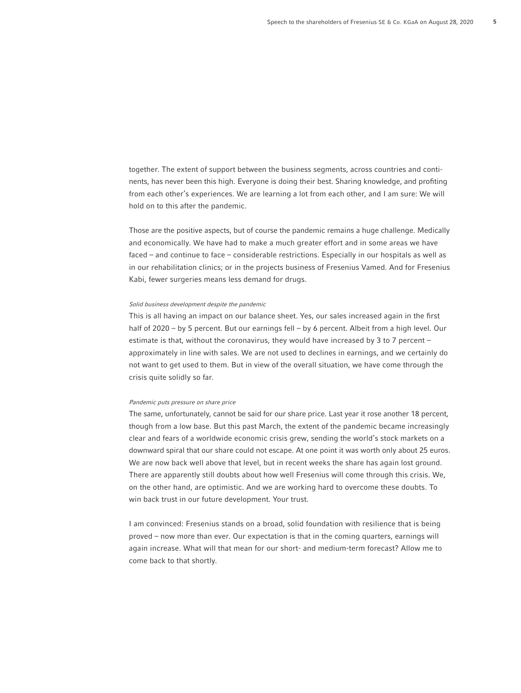together. The extent of support between the business segments, across countries and continents, has never been this high. Everyone is doing their best. Sharing knowledge, and profiting from each other's experiences. We are learning a lot from each other, and I am sure: We will hold on to this after the pandemic.

Those are the positive aspects, but of course the pandemic remains a huge challenge. Medically and economically. We have had to make a much greater effort and in some areas we have faced – and continue to face – considerable restrictions. Especially in our hospitals as well as in our rehabilitation clinics; or in the projects business of Fresenius Vamed. And for Fresenius Kabi, fewer surgeries means less demand for drugs.

### Solid business development despite the pandemic

This is all having an impact on our balance sheet. Yes, our sales increased again in the first half of 2020 – by 5 percent. But our earnings fell – by 6 percent. Albeit from a high level. Our estimate is that, without the coronavirus, they would have increased by 3 to 7 percent – approximately in line with sales. We are not used to declines in earnings, and we certainly do not want to get used to them. But in view of the overall situation, we have come through the crisis quite solidly so far.

#### Pandemic puts pressure on share price

The same, unfortunately, cannot be said for our share price. Last year it rose another 18 percent, though from a low base. But this past March, the extent of the pandemic became increasingly clear and fears of a worldwide economic crisis grew, sending the world's stock markets on a downward spiral that our share could not escape. At one point it was worth only about 25 euros. We are now back well above that level, but in recent weeks the share has again lost ground. There are apparently still doubts about how well Fresenius will come through this crisis. We, on the other hand, are optimistic. And we are working hard to overcome these doubts. To win back trust in our future development. Your trust.

I am convinced: Fresenius stands on a broad, solid foundation with resilience that is being proved – now more than ever. Our expectation is that in the coming quarters, earnings will again increase. What will that mean for our short- and medium-term forecast? Allow me to come back to that shortly.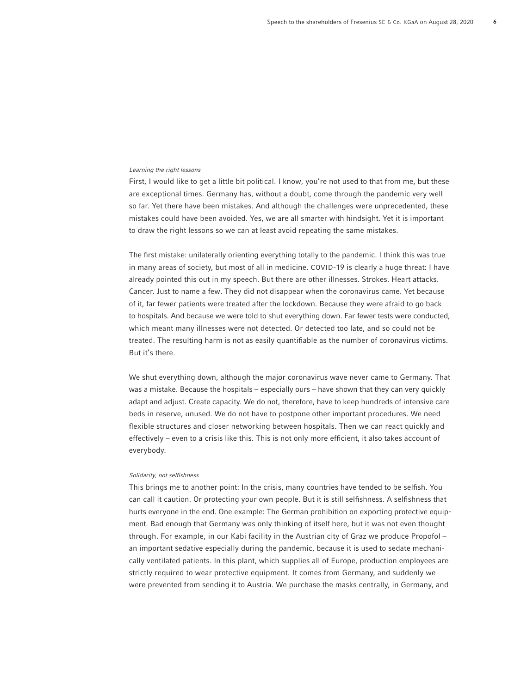#### Learning the right lessons

First, I would like to get a little bit political. I know, you're not used to that from me, but these are exceptional times. Germany has, without a doubt, come through the pandemic very well so far. Yet there have been mistakes. And although the challenges were unprecedented, these mistakes could have been avoided. Yes, we are all smarter with hindsight. Yet it is important to draw the right lessons so we can at least avoid repeating the same mistakes.

The first mistake: unilaterally orienting everything totally to the pandemic. I think this was true in many areas of society, but most of all in medicine. COVID-19 is clearly a huge threat: I have already pointed this out in my speech. But there are other illnesses. Strokes. Heart attacks. Cancer. Just to name a few. They did not disappear when the coronavirus came. Yet because of it, far fewer patients were treated after the lockdown. Because they were afraid to go back to hospitals. And because we were told to shut everything down. Far fewer tests were conducted, which meant many illnesses were not detected. Or detected too late, and so could not be treated. The resulting harm is not as easily quantifiable as the number of coronavirus victims. But it's there.

We shut everything down, although the major coronavirus wave never came to Germany. That was a mistake. Because the hospitals – especially ours – have shown that they can very quickly adapt and adjust. Create capacity. We do not, therefore, have to keep hundreds of intensive care beds in reserve, unused. We do not have to postpone other important procedures. We need flexible structures and closer networking between hospitals. Then we can react quickly and effectively – even to a crisis like this. This is not only more efficient, it also takes account of everybody.

### Solidarity, not selfishness

This brings me to another point: In the crisis, many countries have tended to be selfish. You can call it caution. Or protecting your own people. But it is still selfishness. A selfishness that hurts everyone in the end. One example: The German prohibition on exporting protective equipment. Bad enough that Germany was only thinking of itself here, but it was not even thought through. For example, in our Kabi facility in the Austrian city of Graz we produce Propofol – an important sedative especially during the pandemic, because it is used to sedate mechanically ventilated patients. In this plant, which supplies all of Europe, production employees are strictly required to wear protective equipment. It comes from Germany, and suddenly we were prevented from sending it to Austria. We purchase the masks centrally, in Germany, and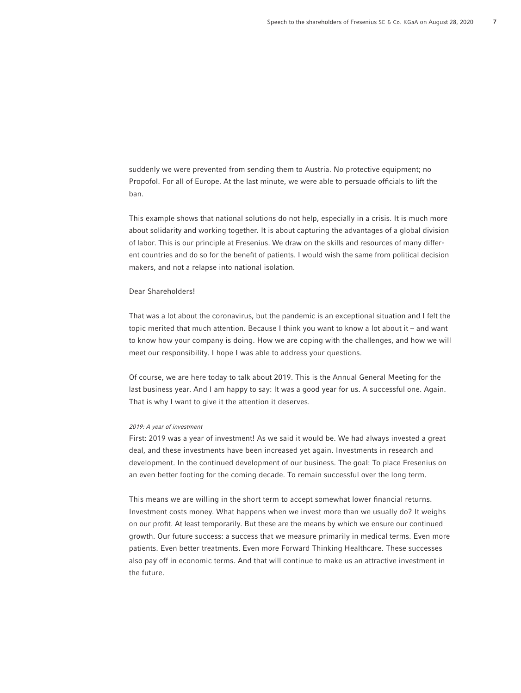suddenly we were prevented from sending them to Austria. No protective equipment; no Propofol. For all of Europe. At the last minute, we were able to persuade officials to lift the ban.

This example shows that national solutions do not help, especially in a crisis. It is much more about solidarity and working together. It is about capturing the advantages of a global division of labor. This is our principle at Fresenius. We draw on the skills and resources of many different countries and do so for the benefit of patients. I would wish the same from political decision makers, and not a relapse into national isolation.

## Dear Shareholders!

That was a lot about the coronavirus, but the pandemic is an exceptional situation and I felt the topic merited that much attention. Because I think you want to know a lot about it – and want to know how your company is doing. How we are coping with the challenges, and how we will meet our responsibility. I hope I was able to address your questions.

Of course, we are here today to talk about 2019. This is the Annual General Meeting for the last business year. And I am happy to say: It was a good year for us. A successful one. Again. That is why I want to give it the attention it deserves.

### 2019: A year of investment

First: 2019 was a year of investment! As we said it would be. We had always invested a great deal, and these investments have been increased yet again. Investments in research and development. In the continued development of our business. The goal: To place Fresenius on an even better footing for the coming decade. To remain successful over the long term.

This means we are willing in the short term to accept somewhat lower financial returns. Investment costs money. What happens when we invest more than we usually do? It weighs on our profit. At least temporarily. But these are the means by which we ensure our continued growth. Our future success: a success that we measure primarily in medical terms. Even more patients. Even better treatments. Even more Forward Thinking Healthcare. These successes also pay off in economic terms. And that will continue to make us an attractive investment in the future.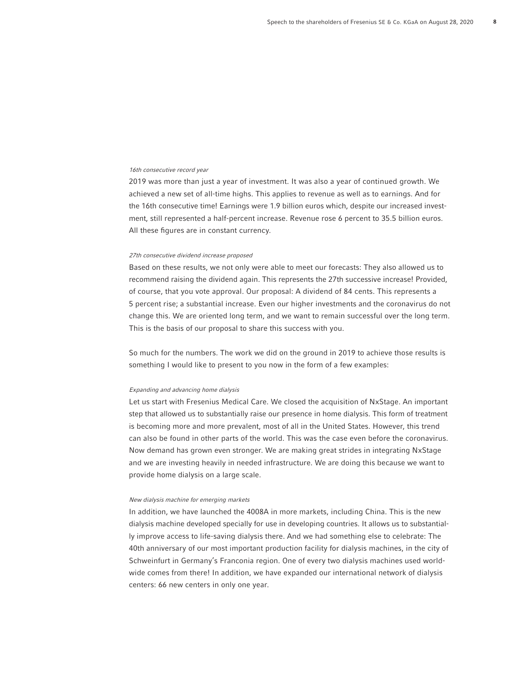#### 16th consecutive record year

2019 was more than just a year of investment. It was also a year of continued growth. We achieved a new set of all-time highs. This applies to revenue as well as to earnings. And for the 16th consecutive time! Earnings were 1.9 billion euros which, despite our increased investment, still represented a half-percent increase. Revenue rose 6 percent to 35.5 billion euros. All these figures are in constant currency.

#### 27th consecutive dividend increase proposed

Based on these results, we not only were able to meet our forecasts: They also allowed us to recommend raising the dividend again. This represents the 27th successive increase! Provided, of course, that you vote approval. Our proposal: A dividend of 84 cents. This represents a 5 percent rise; a substantial increase. Even our higher investments and the coronavirus do not change this. We are oriented long term, and we want to remain successful over the long term. This is the basis of our proposal to share this success with you.

So much for the numbers. The work we did on the ground in 2019 to achieve those results is something I would like to present to you now in the form of a few examples:

#### Expanding and advancing home dialysis

Let us start with Fresenius Medical Care. We closed the acquisition of NxStage. An important step that allowed us to substantially raise our presence in home dialysis. This form of treatment is becoming more and more prevalent, most of all in the United States. However, this trend can also be found in other parts of the world. This was the case even before the coronavirus. Now demand has grown even stronger. We are making great strides in integrating NxStage and we are investing heavily in needed infrastructure. We are doing this because we want to provide home dialysis on a large scale.

### New dialysis machine for emerging markets

In addition, we have launched the 4008A in more markets, including China. This is the new dialysis machine developed specially for use in developing countries. It allows us to substantially improve access to life-saving dialysis there. And we had something else to celebrate: The 40th anniversary of our most important production facility for dialysis machines, in the city of Schweinfurt in Germany's Franconia region. One of every two dialysis machines used worldwide comes from there! In addition, we have expanded our international network of dialysis centers: 66 new centers in only one year.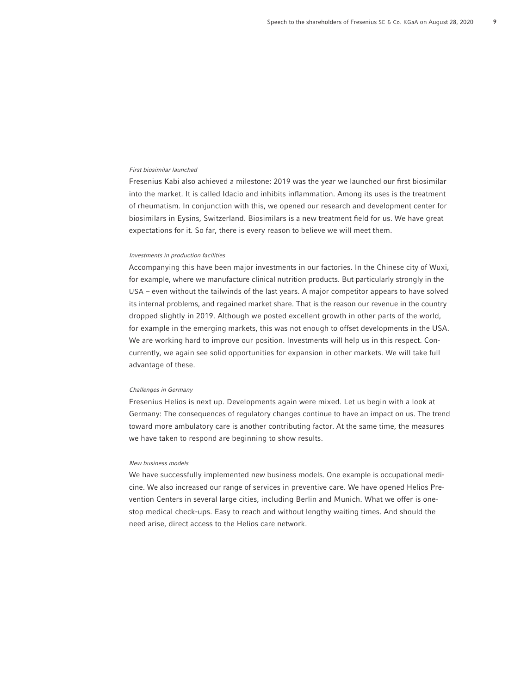#### First biosimilar launched

Fresenius Kabi also achieved a milestone: 2019 was the year we launched our first biosimilar into the market. It is called Idacio and inhibits inflammation. Among its uses is the treatment of rheumatism. In conjunction with this, we opened our research and development center for biosimilars in Eysins, Switzerland. Biosimilars is a new treatment field for us. We have great expectations for it. So far, there is every reason to believe we will meet them.

#### Investments in production facilities

Accompanying this have been major investments in our factories. In the Chinese city of Wuxi, for example, where we manufacture clinical nutrition products. But particularly strongly in the USA – even without the tailwinds of the last years. A major competitor appears to have solved its internal problems, and regained market share. That is the reason our revenue in the country dropped slightly in 2019. Although we posted excellent growth in other parts of the world, for example in the emerging markets, this was not enough to offset developments in the USA. We are working hard to improve our position. Investments will help us in this respect. Concurrently, we again see solid opportunities for expansion in other markets. We will take full advantage of these.

#### Challenges in Germany

Fresenius Helios is next up. Developments again were mixed. Let us begin with a look at Germany: The consequences of regulatory changes continue to have an impact on us. The trend toward more ambulatory care is another contributing factor. At the same time, the measures we have taken to respond are beginning to show results.

#### New business models

We have successfully implemented new business models. One example is occupational medicine. We also increased our range of services in preventive care. We have opened Helios Prevention Centers in several large cities, including Berlin and Munich. What we offer is onestop medical check-ups. Easy to reach and without lengthy waiting times. And should the need arise, direct access to the Helios care network.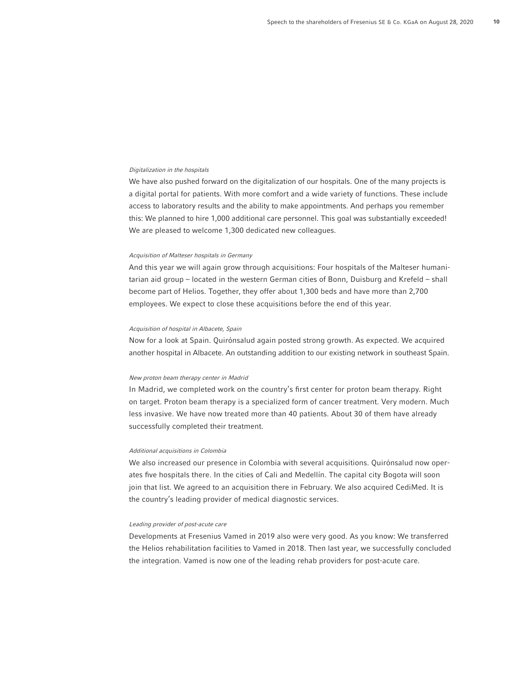#### Digitalization in the hospitals

We have also pushed forward on the digitalization of our hospitals. One of the many projects is a digital portal for patients. With more comfort and a wide variety of functions. These include access to laboratory results and the ability to make appointments. And perhaps you remember this: We planned to hire 1,000 additional care personnel. This goal was substantially exceeded! We are pleased to welcome 1,300 dedicated new colleagues.

#### Acquisition of Malteser hospitals in Germany

And this year we will again grow through acquisitions: Four hospitals of the Malteser humanitarian aid group – located in the western German cities of Bonn, Duisburg and Krefeld – shall become part of Helios. Together, they offer about 1,300 beds and have more than 2,700 employees. We expect to close these acquisitions before the end of this year.

### Acquisition of hospital in Albacete, Spain

Now for a look at Spain. Quirónsalud again posted strong growth. As expected. We acquired another hospital in Albacete. An outstanding addition to our existing network in southeast Spain.

### New proton beam therapy center in Madrid

In Madrid, we completed work on the country's first center for proton beam therapy. Right on target. Proton beam therapy is a specialized form of cancer treatment. Very modern. Much less invasive. We have now treated more than 40 patients. About 30 of them have already successfully completed their treatment.

## Additional acquisitions in Colombia

We also increased our presence in Colombia with several acquisitions. Quirónsalud now operates five hospitals there. In the cities of Cali and Medellín. The capital city Bogota will soon join that list. We agreed to an acquisition there in February. We also acquired CediMed. It is the country's leading provider of medical diagnostic services.

## Leading provider of post-acute care

Developments at Fresenius Vamed in 2019 also were very good. As you know: We transferred the Helios rehabilitation facilities to Vamed in 2018. Then last year, we successfully concluded the integration. Vamed is now one of the leading rehab providers for post-acute care.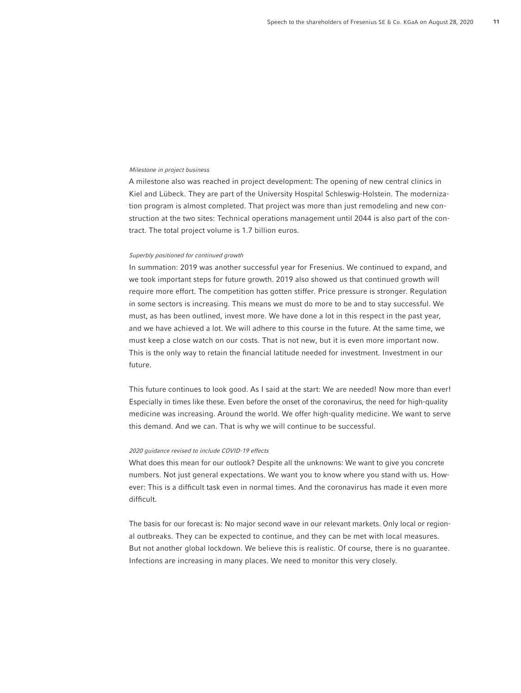#### Milestone in project business

A milestone also was reached in project development: The opening of new central clinics in Kiel and Lübeck. They are part of the University Hospital Schleswig-Holstein. The modernization program is almost completed. That project was more than just remodeling and new construction at the two sites: Technical operations management until 2044 is also part of the contract. The total project volume is 1.7 billion euros.

#### Superbly positioned for continued growth

In summation: 2019 was another successful year for Fresenius. We continued to expand, and we took important steps for future growth. 2019 also showed us that continued growth will require more effort. The competition has gotten stiffer. Price pressure is stronger. Regulation in some sectors is increasing. This means we must do more to be and to stay successful. We must, as has been outlined, invest more. We have done a lot in this respect in the past year, and we have achieved a lot. We will adhere to this course in the future. At the same time, we must keep a close watch on our costs. That is not new, but it is even more important now. This is the only way to retain the financial latitude needed for investment. Investment in our future.

This future continues to look good. As I said at the start: We are needed! Now more than ever! Especially in times like these. Even before the onset of the coronavirus, the need for high-quality medicine was increasing. Around the world. We offer high-quality medicine. We want to serve this demand. And we can. That is why we will continue to be successful.

# 2020 guidance revised to include COVID-19 effects

What does this mean for our outlook? Despite all the unknowns: We want to give you concrete numbers. Not just general expectations. We want you to know where you stand with us. However: This is a difficult task even in normal times. And the coronavirus has made it even more difficult.

The basis for our forecast is: No major second wave in our relevant markets. Only local or regional outbreaks. They can be expected to continue, and they can be met with local measures. But not another global lockdown. We believe this is realistic. Of course, there is no guarantee. Infections are increasing in many places. We need to monitor this very closely.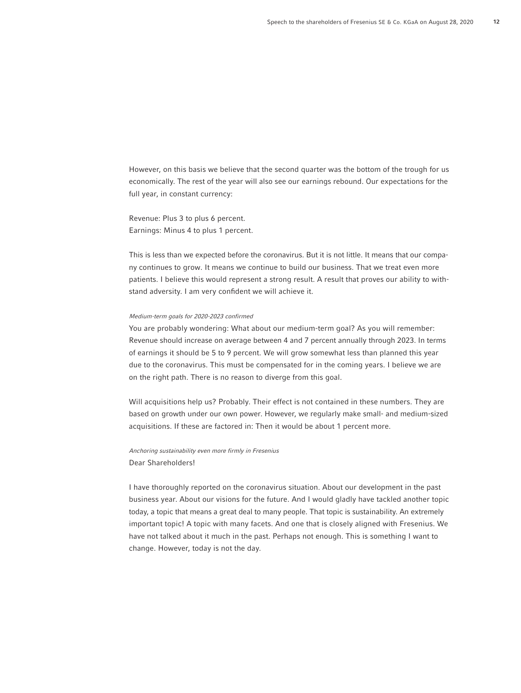However, on this basis we believe that the second quarter was the bottom of the trough for us economically. The rest of the year will also see our earnings rebound. Our expectations for the full year, in constant currency:

Revenue: Plus 3 to plus 6 percent. Earnings: Minus 4 to plus 1 percent.

This is less than we expected before the coronavirus. But it is not little. It means that our company continues to grow. It means we continue to build our business. That we treat even more patients. I believe this would represent a strong result. A result that proves our ability to withstand adversity. I am very confident we will achieve it.

### Medium-term goals for 2020-2023 confirmed

You are probably wondering: What about our medium-term goal? As you will remember: Revenue should increase on average between 4 and 7 percent annually through 2023. In terms of earnings it should be 5 to 9 percent. We will grow somewhat less than planned this year due to the coronavirus. This must be compensated for in the coming years. I believe we are on the right path. There is no reason to diverge from this goal.

Will acquisitions help us? Probably. Their effect is not contained in these numbers. They are based on growth under our own power. However, we regularly make small- and medium-sized acquisitions. If these are factored in: Then it would be about 1 percent more.

Anchoring sustainability even more firmly in Fresenius Dear Shareholders!

I have thoroughly reported on the coronavirus situation. About our development in the past business year. About our visions for the future. And I would gladly have tackled another topic today, a topic that means a great deal to many people. That topic is sustainability. An extremely important topic! A topic with many facets. And one that is closely aligned with Fresenius. We have not talked about it much in the past. Perhaps not enough. This is something I want to change. However, today is not the day.